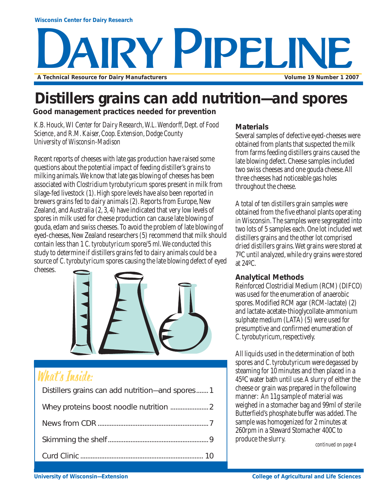# RY PIPELINE **A Technical Resource for Dairy Manufacturers Volume 19 Number 1 2007**

## **Distillers grains can add nutrition—and spores**

**Good management practices needed for prevention**

*K.B. Houck, WI Center for Dairy Research, W.L. Wendorff, Dept. of Food Science, and R.M. Kaiser, Coop. Extension, Dodge County University of Wisconsin-Madison*

Recent reports of cheeses with late gas production have raised some questions about the potential impact of feeding distiller's grains to milking animals. We know that late gas blowing of cheeses has been associated with *Clostridium tyrobutyricum* spores present in milk from silage-fed livestock (1). High spore levels have also been reported in brewers grains fed to dairy animals (2). Reports from Europe, New Zealand, and Australia (2, 3, 4) have indicated that very low levels of spores in milk used for cheese production can cause late blowing of gouda, edam and swiss cheeses. To avoid the problem of late blowing of eyed-cheeses, New Zealand researchers (5) recommend that milk should contain less than 1 *C. tyrobutyricum* spore/5 ml. We conducted this study to determine if distillers grains fed to dairy animals could be a source of *C. tyrobutyricum* spores causing the late blowing defect of eyed cheeses.



## What's Inside:

| Distillers grains can add nutrition-and spores1 |
|-------------------------------------------------|
|                                                 |
|                                                 |
|                                                 |
|                                                 |
|                                                 |

#### **Materials**

Several samples of defective eyed-cheeses were obtained from plants that suspected the milk from farms feeding distillers grains caused the late blowing defect. Cheese samples included two swiss cheeses and one gouda cheese. All three cheeses had noticeable gas holes throughout the cheese.

A total of ten distillers grain samples were obtained from the five ethanol plants operating in Wisconsin. The samples were segregated into two lots of 5 samples each. One lot included wet distillers grains and the other lot comprised dried distillers grains. Wet grains were stored at 7ºC until analyzed, while dry grains were stored at 24ºC.

#### **Analytical Methods**

Reinforced Clostridial Medium (RCM) (DIFCO) was used for the enumeration of anaerobic spores. Modified RCM agar (RCM-lactate) (2) and lactate-acetate-thioglycollate-ammonium sulphate medium (LATA) (5) were used for presumptive and confirmed enumeration of *C. tyrobutyricum*, respectively.

All liquids used in the determination of both spores and *C. tyrobutyricum* were degassed by steaming for 10 minutes and then placed in a 45ºC water bath until use. A slurry of either the cheese or grain was prepared in the following manner: An 11g sample of material was weighed in a stomacher bag and 99ml of sterile Butterfield's phosphate buffer was added. The sample was homogenized for 2 minutes at 260rpm in a Steward Stomacher 400C to produce the slurry.

*continued on page 4*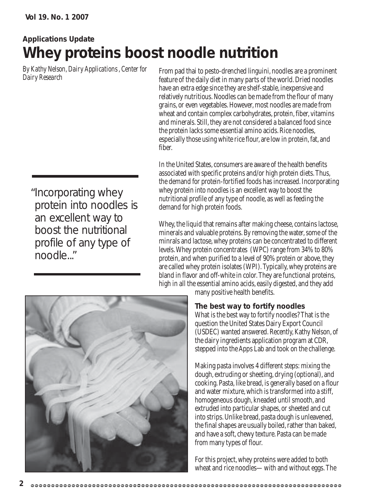## **Applications Update Whey proteins boost noodle nutrition**

*By Kathy Nelson, Dairy Applications , Center for Dairy Research*

"Incorporating whey protein into noodles is an excellent way to boost the nutritional profile of any type of noodle..."

From pad thai to pesto-drenched linguini, noodles are a prominent feature of the daily diet in many parts of the world. Dried noodles have an extra edge since they are shelf-stable, inexpensive and relatively nutritious. Noodles can be made from the flour of many grains, or even vegetables. However, most noodles are made from wheat and contain complex carbohydrates, protein, fiber, vitamins and minerals. Still, they are not considered a balanced food since the protein lacks some essential amino acids. Rice noodles, especially those using white rice flour, are low in protein, fat, and fiber.

In the United States, consumers are aware of the health benefits associated with specific proteins and/or high protein diets. Thus, the demand for protein-fortified foods has increased. Incorporating whey protein into noodles is an excellent way to boost the nutritional profile of any type of noodle, as well as feeding the demand for high protein foods.

Whey, the liquid that remains after making cheese, contains lactose, minerals and valuable proteins. By removing the water, some of the minrals and lactose, whey proteins can be concentrated to different levels. Whey protein concentrates (WPC) range from 34% to 80% protein, and when purified to a level of 90% protein or above, they are called whey protein isolates (WPI). Typically, whey proteins are bland in flavor and off-white in color. They are functional proteins, high in all the essential amino acids, easily digested, and they add



many positive health benefits.

#### **The best way to fortify noodles**

What is the best way to fortify noodles? That is the question the United States Dairy Export Council (USDEC) wanted answered. Recently, Kathy Nelson, of the dairy ingredients application program at CDR, stepped into the Apps Lab and took on the challenge.

Making pasta involves 4 different steps: mixing the dough, extruding or sheeting, drying (optional), and cooking. Pasta, like bread, is generally based on a flour and water mixture, which is transformed into a stiff, homogeneous dough, kneaded until smooth, and extruded into particular shapes, or sheeted and cut into strips. Unlike bread, pasta dough is unleavened, the final shapes are usually boiled, rather than baked, and have a soft, chewy texture. Pasta can be made from many types of flour.

For this project, whey proteins were added to both wheat and rice noodles—with and without eggs. The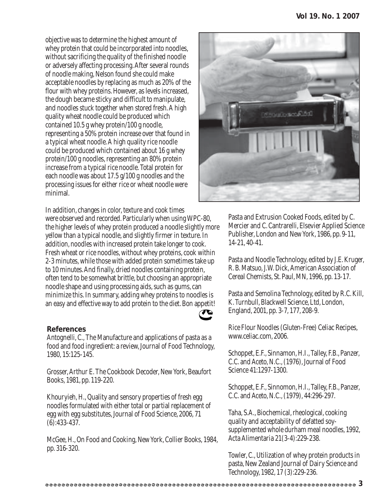objective was to determine the highest amount of whey protein that could be incorporated into noodles, without sacrificing the quality of the finished noodle or adversely affecting processing. After several rounds of noodle making, Nelson found she could make acceptable noodles by replacing as much as 20% of the flour with whey proteins. However, as levels increased, the dough became sticky and difficult to manipulate, and noodles stuck together when stored fresh. A high quality wheat noodle could be produced which contained 10.5 g whey protein/100 g noodle, representing a 50% protein increase over that found in a typical wheat noodle. A high quality rice noodle could be produced which contained about 16 g whey protein/100 g noodles, representing an 80% protein increase from a typical rice noodle. Total protein for each noodle was about 17.5 g/100 g noodles and the processing issues for either rice or wheat noodle were minimal.

In addition, changes in color, texture and cook times were observed and recorded. Particularly when using WPC-80, the higher levels of whey protein produced a noodle slightly more yellow than a typical noodle, and slightly firmer in texture. In addition, noodles with increased protein take longer to cook. Fresh wheat or rice noodles, without whey proteins, cook within 2-3 minutes, while those with added protein sometimes take up to 10 minutes. And finally, dried noodles containing protein, often tend to be somewhat brittle, but choosing an appropriate noodle shape and using processing aids, such as gums, can minimize this. In summary, adding whey proteins to noodles is an easy and effective way to add protein to the diet. Bon appetit!

#### **References**

Antognelli, C., The Manufacture and applications of pasta as a food and food ingredient: a review, Journal of Food Technology, 1980, 15:125-145.

Grosser, Arthur E. The Cookbook Decoder, New York, Beaufort Books, 1981, pp. 119-220.

Khouryieh, H., Quality and sensory properties of fresh egg noodles formulated with either total or partial replacement of egg with egg substitutes, Journal of Food Science, 2006, 71 (6):433-437.

McGee, H., On Food and Cooking, New York, Collier Books, 1984, pp. 316-320.



Pasta and Extrusion Cooked Foods, edited by C. Mercier and C. Cantrarelli, Elsevier Applied Science Publisher, London and New York, 1986, pp. 9-11, 14-21, 40-41.

Pasta and Noodle Technology, edited by J.E. Kruger, R. B. Matsuo, J.W. Dick, American Association of Cereal Chemists, St. Paul, MN, 1996, pp. 13-17.

Pasta and Semolina Technology, edited by R.C. Kill, K. Turnbull, Blackwell Science, Ltd, London, England, 2001, pp. 3-7, 177, 208-9.

Rice Flour Noodles (Gluten-Free) Celiac Recipes, www.celiac.com, 2006.

Schoppet, E.F., Sinnamon, H.I., Talley, F.B., Panzer, C.C. and Aceto, N.C., (1976), Journal of Food Science 41:1297-1300.

Schoppet, E.F., Sinnomon, H.I., Talley, F.B., Panzer, C.C. and Aceto, N.C., (1979), 44:296-297.

Taha, S.A., Biochemical, rheological, cooking quality and acceptability of defatted soysupplemented whole durham meal noodles, 1992, Acta Alimentaria 21(3-4):229-238.

Towler, C., Utilization of whey protein products in pasta, New Zealand Journal of Dairy Science and Technology, 1982, 17 (3):229-236.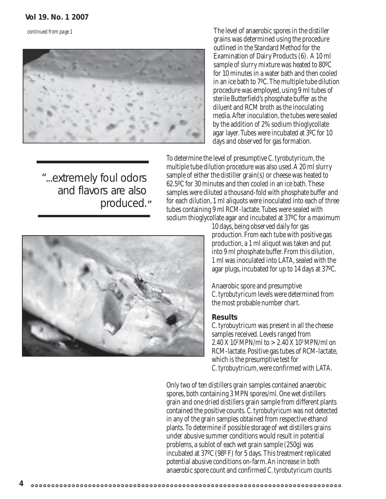*continued from page 1*



"...extremely foul odors

and flavors are also

produced."

The level of anaerobic spores in the distiller grains was determined using the procedure outlined in the Standard Method for the Examination of Dairy Products (6). A 10 ml sample of slurry mixture was heated to 80ºC for 10 minutes in a water bath and then cooled in an ice bath to 7ºC. The multiple tube dilution procedure was employed, using 9 ml tubes of sterile Butterfield's phosphate buffer as the diluent and RCM broth as the inoculating media. After inoculation, the tubes were sealed by the addition of 2% sodium thioglycollate agar layer. Tubes were incubated at 3ºC for 10 days and observed for gas formation.

To determine the level of presumptive *C. tyrobutyricum*, the multiple tube dilution procedure was also used. A 20 ml slurry sample of either the distiller grain(s) or cheese was heated to 62.5ºC for 30 minutes and then cooled in an ice bath. These samples were diluted a thousand-fold with phosphate buffer and for each dilution, 1 ml aliquots were inoculated into each of three tubes containing 9 ml RCM-lactate. Tubes were sealed with sodium thioglycollate agar and incubated at 37ºC for a maximum



10 days, being observed daily for gas production. From each tube with positive gas production, a 1 ml aliquot was taken and put into 9 ml phosphate buffer. From this dilution, 1 ml was inoculated into LATA, sealed with the agar plugs, incubated for up to 14 days at 37ºC.

Anaerobic spore and presumptive *C. tyrobutyricum* levels were determined from the most probable number chart.

#### **Results**

*C. tyrobuytricum* was present in all the cheese samples received. Levels ranged from 2.40 X 10<sup>2</sup> MPN/ml to  $>$  2.40 X 10<sup>5</sup> MPN/ml on RCM-lactate. Positive gas tubes of RCM-lactate, which is the presumptive test for *C. tyrobuytricum*, were confirmed with LATA.

Only two of ten distillers grain samples contained anaerobic spores, both containing 3 MPN spores/ml. One wet distillers grain and one dried distillers grain sample from different plants contained the positive counts. *C. tyrobutyricum* was not detected in any of the grain samples obtained from respective ethanol plants. To determine if possible storage of wet distillers grains under abusive summer conditions would result in potential problems, a sublot of each wet grain sample (250g) was incubated at 37ºC (98º F) for 5 days. This treatment replicated potential abusive conditions on-farm. An increase in both anaerobic spore count and confirmed *C. tyrobutyricum* counts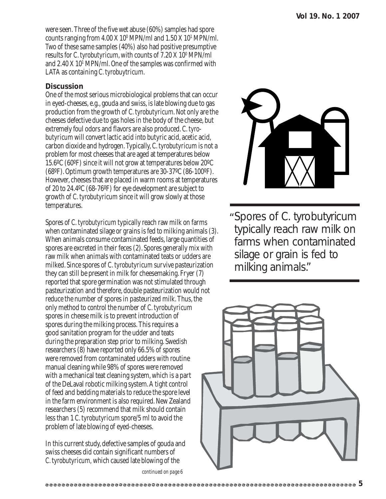were seen. Three of the five wet abuse (60%) samples had spore counts ranging from  $4.00 \text{ X} 10^{\circ}$  MPN/ml and  $1.50 \text{ X} 10^{\circ}$  MPN/ml. Two of these same samples (40%) also had positive presumptive results for *C. tyrobutyricum*, with counts of 7.20 X 10º MPN/ml and 2.40 X 10<sup>1</sup> MPN/ml. One of the samples was confirmed with LATA as containing *C. tyrobuytricum*.

#### **Discussion**

One of the most serious microbiological problems that can occur in eyed-cheeses, e.g., gouda and swiss, is late blowing due to gas production from the growth of *C. tyrobutyricum*. Not only are the cheeses defective due to gas holes in the body of the cheese, but extremely foul odors and flavors are also produced. *C. tyrobutyricum* will convert lactic acid into butyric acid, acetic acid, carbon dioxide and hydrogen. Typically, *C. tyrobutyricum* is not a problem for most cheeses that are aged at temperatures below 15.6ºC (60ºF) since it will not grow at temperatures below 20ºC (68ºF). Optimum growth temperatures are 30-37ºC (86-100ºF). However, cheeses that are placed in warm rooms at temperatures of 20 to 24.4ºC (68-76ºF) for eye development are subject to growth of *C. tyrobutyricum* since it will grow slowly at those temperatures.

Spores of *C. tyrobutyricum* typically reach raw milk on farms when contaminated silage or grains is fed to milking animals (3). When animals consume contaminated feeds, large quantities of spores are excreted in their feces (2). Spores generally mix with raw milk when animals with contaminated teats or udders are milked. Since spores of *C. tyrobutyricum* survive pasteurization they can still be present in milk for cheesemaking. Fryer (7) reported that spore germination was not stimulated through pasteurization and therefore, double pasteurization would not reduce the number of spores in pasteurized milk. Thus, the only method to control the number of *C. tyrobutyricum* spores in cheese milk is to prevent introduction of spores during the milking process. This requires a good sanitation program for the udder and teats during the preparation step prior to milking. Swedish researchers (8) have reported only 66.5% of spores were removed from contaminated udders with routine manual cleaning while 98% of spores were removed with a mechanical teat cleaning system, which is a part of the DeLaval robotic milking system. A tight control of feed and bedding materials to reduce the spore level in the farm environment is also required. New Zealand researchers (5) recommend that milk should contain less than 1 *C. tyrobutyricum* spore/5 ml to avoid the problem of late blowing of eyed-cheeses.

In this current study, defective samples of gouda and swiss cheeses did contain significant numbers of *C. tyrobutyricum,* which caused late blowing of the



Spores of *C. tyrobutyricum* " typically reach raw milk on farms when contaminated silage or grain is fed to milking animals."

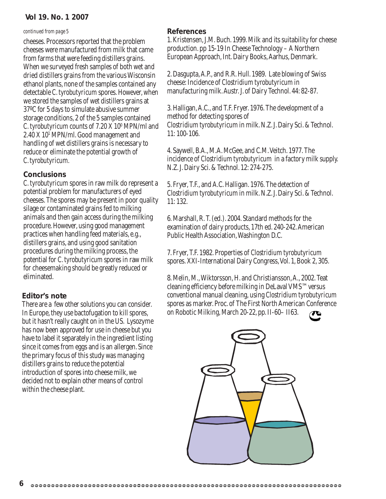#### **Vol 19. No. 1 2007**

#### *continued from page 5*

cheeses. Processors reported that the problem cheeses were manufactured from milk that came from farms that were feeding distillers grains. When we surveyed fresh samples of both wet and dried distillers grains from the various Wisconsin ethanol plants, none of the samples contained any detectable *C. tyrobutyricum* spores. However, when we stored the samples of wet distillers grains at 37ºC for 5 days to simulate abusive summer storage conditions, 2 of the 5 samples contained *C. tyrobutyricum* counts of 7.20 X 10<sup>0</sup> MPN/ml and 2.40 X 101 MPN/ml. Good management and handling of wet distillers grains is necessary to reduce or eliminate the potential growth of *C. tyrobutyricum.*

#### **Conclusions**

*C. tyrobutyricum* spores in raw milk do represent a potential problem for manufacturers of eyed cheeses. The spores may be present in poor quality silage or contaminated grains fed to milking animals and then gain access during the milking procedure. However, using good management practices when handling feed materials, e.g., distillers grains, and using good sanitation procedures during the milking process, the potential for *C. tyrobutyricum* spores in raw milk for cheesemaking should be greatly reduced or eliminated.

#### **Editor's note**

There are a few other solutions you can consider. In Europe, they use bactofugation to kill spores, but it hasn't really caught on in the US. Lysozyme has now been approved for use in cheese but you have to label it separately in the ingredient listing since it comes from eggs and is an allergen. Since the primary focus of this study was managing distillers grains to reduce the potential introduction of spores into cheese milk, we decided not to explain other means of control within the cheese plant.

#### **References**

1. Kristensen, J.M. Buch. 1999. Milk and its suitability for cheese production. pp 15-19 In Cheese Technology – A Northern European Approach, Int. Dairy Books, Aarhus, Denmark.

2. Dasgupta, A.P., and R.R. Hull. 1989. Late blowing of Swiss cheese: Incidence of *Clostridium tyrobutyricum* in manufacturing milk. Austr. J. of Dairy Technol. 44: 82-87.

3. Halligan, A.C., and T.F. Fryer. 1976. The development of a method for detecting spores of *Clostridium tyrobutyricum* in milk. N.Z. J. Dairy Sci. & Technol. 11: 100-106.

4. Saywell, B.A., M.A. McGee, and C.M. Veitch. 1977. The incidence of *Clostridium tyrobutyricum* in a factory milk supply. N.Z. J. Dairy Sci. & Technol. 12: 274-275.

5. Fryer, T.F., and A.C. Halligan. 1976. The detection of *Clostridium tyrobutyricum* in milk. N.Z. J. Dairy Sci. & Technol. 11: 132.

6. Marshall, R. T. (ed.). 2004. Standard methods for the examination of dairy products, 17th ed. 240-242. American Public Health Association, Washington D.C.

7. Fryer, T.F. 1982. Properties of *Clostridium tyrobutyricum* spores. XXI-International Dairy Congress, Vol. 1, Book 2, 305.

8. Melin, M., Wiktorsson, H. and Christiansson, A., 2002. Teat cleaning efficiency before milking in DeLaval VMS™ versus conventional manual cleaning, using *Clostridium tyrobutyricum* spores as marker. Proc. of The First North American Conference on Robotic Milking, March 20-22, pp. II-60– II63.

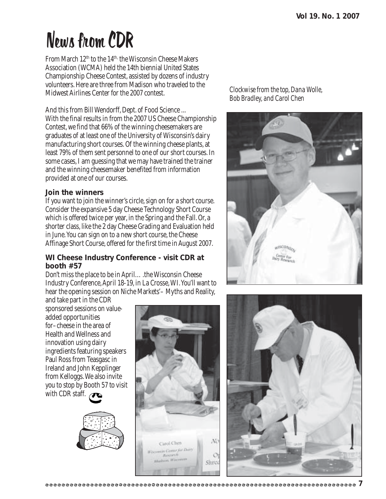## News from CDR

From March 12<sup>th</sup> to the 14<sup>th,</sup> the Wisconsin Cheese Makers Association (WCMA) held the 14th biennial United States Championship Cheese Contest, assisted by dozens of industry volunteers. Here are three from Madison who traveled to the Midwest Airlines Center for the 2007 contest.

And this from Bill Wendorff, Dept. of Food Science ... With the final results in from the 2007 US Cheese Championship Contest, we find that 66% of the winning cheesemakers are graduates of at least one of the University of Wisconsin's dairy manufacturing short courses. Of the winning cheese plants, at least 79% of them sent personnel to one of our short courses. In some cases, I am guessing that we may have trained the trainer and the winning cheesemaker benefited from information provided at one of our courses.

#### **Join the winners**

If you want to join the winner's circle, sign on for a short course. Consider the expansive 5 day Cheese Technology Short Course which is offered twice per year, in the Spring and the Fall. Or, a shorter class, like the 2 day Cheese Grading and Evaluation held in June. You can sign on to a new short course, the Cheese Affinage Short Course, offered for the first time in August 2007.

#### **WI Cheese Industry Conference - visit CDR at booth #57**

Don't miss the place to be in April….the Wisconsin Cheese Industry Conference, April 18-19, in La Crosse, WI. You'll want to hear the opening session on Niche Markets'– Myths and Reality,

and take part in the CDR sponsored sessions on valueadded opportunities for–cheese in the area of Health and Wellness and innovation using dairy ingredients featuring speakers Paul Ross from Teasgasc in Ireland and John Kepplinger from Kelloggs. We also invite you to stop by Booth 57 to visit with CDR staff.





*Clockwise from the top, Dana Wolle, Bob Bradley, and Carol Chen*



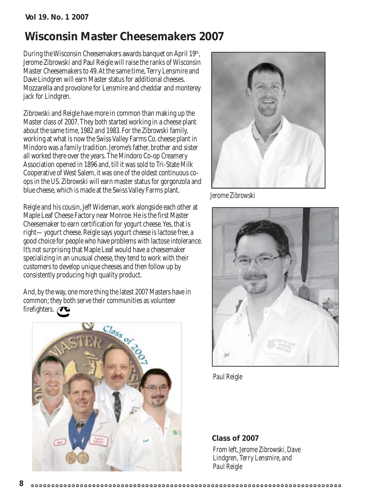## **Wisconsin Master Cheesemakers 2007**

During the Wisconsin Cheesemakers awards banquet on April 19<sup>th</sup>, Jerome Zibrowski and Paul Reigle will raise the ranks of Wisconsin Master Cheesemakers to 49. At the same time, Terry Lensmire and Dave Lindgren will earn Master status for additional cheeses. Mozzarella and provolone for Lensmire and cheddar and monterey jack for Lindgren.

Zibrowski and Reigle have more in common than making up the Master class of 2007. They both started working in a cheese plant about the same time, 1982 and 1983. For the Zibrowski family, working at what is now the Swiss Valley Farms Co. cheese plant in Mindoro was a family tradition. Jerome's father, brother and sister all worked there over the years. The Mindoro Co-op Creamery Association opened in 1896 and, till it was sold to Tri-State Milk Cooperative of West Salem, it was one of the oldest continuous coops in the US. Zibrowski will earn master status for gorgonzola and blue cheese, which is made at the Swiss Valley Farms plant.

Reigle and his cousin, Jeff Wideman, work alongside each other at Maple Leaf Cheese Factory near Monroe. He is the first Master Cheesemaker to earn certification for yogurt cheese. Yes, that is right—yogurt cheese. Reigle says yogurt cheese is lactose free, a good choice for people who have problems with lactose intolerance. It's not surprising that Maple Leaf would have a cheesemaker specializing in an unusual cheese, they tend to work with their customers to develop unique cheeses and then follow up by consistently producing high quality product.

And, by the way, one more thing the latest 2007 Masters have in common; they both serve their communities as volunteer firefighters.





*Jerome Zibrowski*



*Paul Reigle*

*From left, Jerome Zibrowski, Dave Lindgren, Terry Lensmire, and Paul Reigle* **Class of 2007**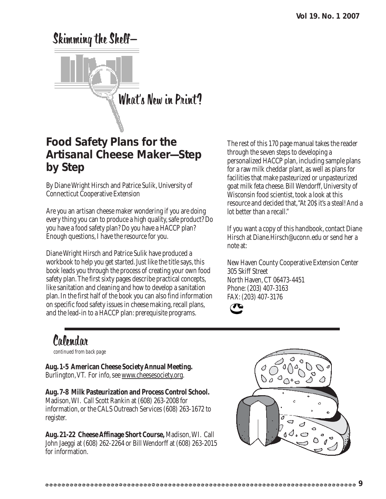# Skimming the Shelf— What's New in Print?

## **Food Safety Plans for the Artisanal Cheese Maker—Step by Step**

By Diane Wright Hirsch and Patrice Sulik, University of Connecticut Cooperative Extension

Are you an artisan cheese maker wondering if you are doing every thing you can to produce a high quality, safe product? Do you have a food safety plan? Do you have a HACCP plan? Enough questions, I have the resource for you.

Diane Wright Hirsch and Patrice Sulik have produced a workbook to help you get started. Just like the title says, this book leads you through the process of creating your own food safety plan. The first sixty pages describe practical concepts, like sanitation and cleaning and how to develop a sanitation plan. In the first half of the book you can also find information on specific food safety issues in cheese making, recall plans, and the lead-in to a HACCP plan: prerequisite programs.

The rest of this 170 page manual takes the reader through the seven steps to developing a personalized HACCP plan, including sample plans for a raw milk cheddar plant, as well as plans for facilities that make pasteurized or unpasteurized goat milk feta cheese. Bill Wendorff, University of Wisconsin food scientist, took a look at this resource and decided that, "At 20\$ it's a steal! And a lot better than a recall."

If you want a copy of this handbook, contact Diane Hirsch at Diane.Hirsch@uconn.edu or send her a note at:

New Haven County Cooperative Extension Center 305 Skiff Street North Haven, CT 06473-4451 Phone: (203) 407-3163 FAX: (203) 407-3176



## Calendar

*continued from back page*

**Aug. 1-5 American Cheese Society Annual Meeting.** Burlington, VT. For info, see www.cheesesociety.org.

**Aug. 7-8 Milk Pasteurization and Process Control School.** Madison, WI. Call Scott Rankin at (608) 263-2008 for information, or the CALS Outreach Services (608) 263-1672 to register.

**Aug. 21-22 Cheese Affinage Short Course,** Madison, WI. Call John Jaeggi at (608) 262-2264 or Bill Wendorff at (608) 263-2015 for information.

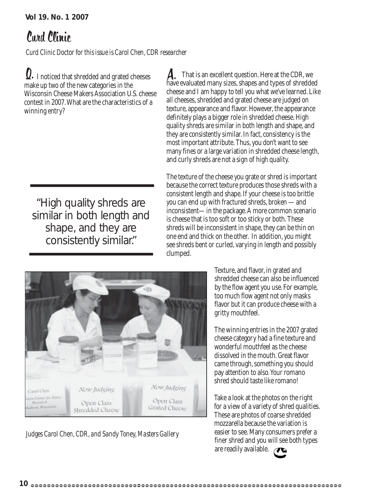## Curd Clinic

*Curd Clinic Doctor for this issue is Carol Chen, CDR researcher*

 $\Omega$ . I noticed that shredded and grated cheeses  $\Lambda$ . make up two of the new categories in the Wisconsin Cheese Makers Association U.S. cheese contest in 2007. What are the characteristics of a winning entry?

"High quality shreds are similar in both length and shape, and they are consistently similar."

A. That is an excellent question. Here at the CDR, we have evaluated many sizes, shapes and types of shredded cheese and I am happy to tell you what we've learned. Like all cheeses, shredded and grated cheese are judged on texture, appearance and flavor. However, the appearance definitely plays a bigger role in shredded cheese. High quality shreds are similar in both length and shape, and they are consistently similar. In fact, consistency is the most important attribute. Thus, you don't want to see many fines or a large variation in shredded cheese length, and curly shreds are not a sign of high quality.

The texture of the cheese you grate or shred is important because the correct texture produces those shreds with a consistent length and shape. If your cheese is too brittle you can end up with fractured shreds, broken —and inconsistent—in the package. A more common scenario is cheese that is too soft or too sticky or both. These shreds will be inconsistent in shape, they can be thin on one end and thick on the other. In addition, you might see shreds bent or curled, varying in length and possibly clumped.



*Judges Carol Chen, CDR, and Sandy Toney, Masters Gallery*

Texture, and flavor, in grated and shredded cheese can also be influenced by the flow agent you use. For example, too much flow agent not only masks flavor but it can produce cheese with a gritty mouthfeel.

The winning entries in the 2007 grated cheese category had a fine texture and wonderful mouthfeel as the cheese dissolved in the mouth. Great flavor came through, something you should pay attention to also. Your romano shred should taste like romano!

Take a look at the photos on the right for a view of a variety of shred qualities. These are photos of coarse shredded mozzarella because the variation is easier to see. Many consumers prefer a finer shred and you will see both types are readily available.  $\bullet$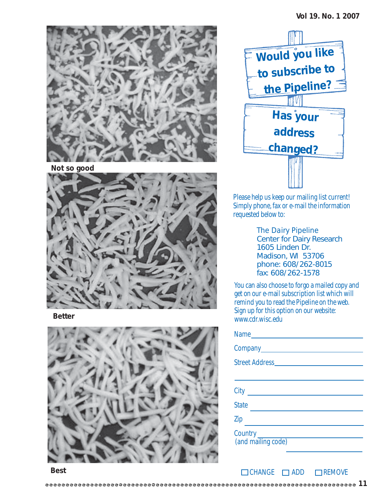

**Not so good**



**Better**





Please help us keep our mailing list current! Simply phone, fax or e-mail the information requested below to:

*The Dairy Pipeline* Center for Dairy Research 1605 Linden Dr. Madison, WI 53706 phone: 608/262-8015 fax: 608/262-1578

You can also choose to forgo a mailed copy and get on our e-mail subscription list which will remind you to read the Pipeline on the web. Sign up for this option on our website: www.cdr.wisc.edu

| Name                                |  |  |
|-------------------------------------|--|--|
|                                     |  |  |
|                                     |  |  |
|                                     |  |  |
| City <u>________________</u>        |  |  |
| <b>State</b>                        |  |  |
| Zip                                 |  |  |
| Country _____<br>(and mailing code) |  |  |

 $\Box$ CHANGE  $\Box$ ADD  $\Box$ REMOVE

**Best**